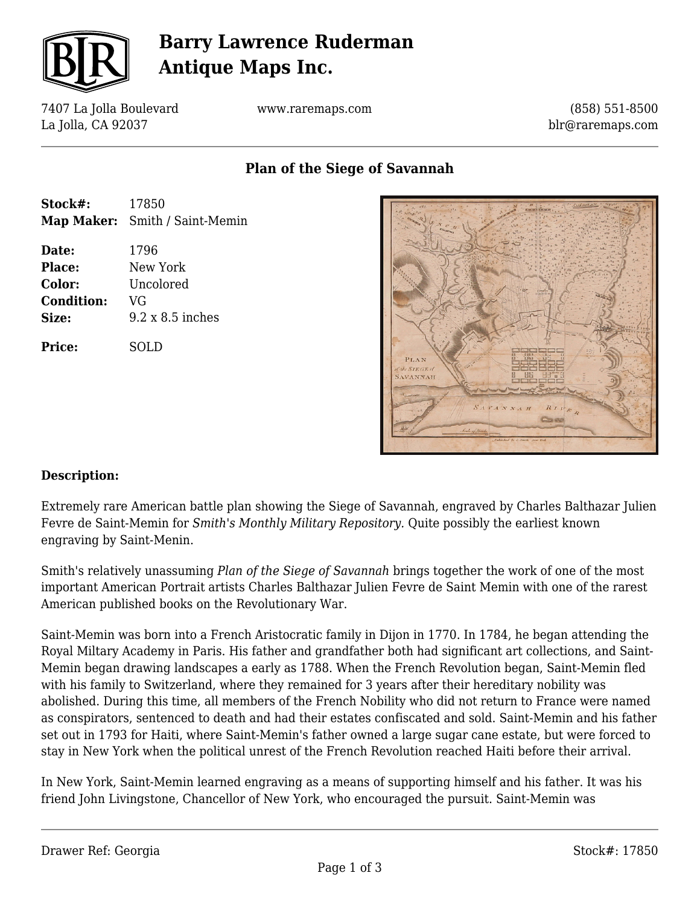

## **Barry Lawrence Ruderman Antique Maps Inc.**

7407 La Jolla Boulevard La Jolla, CA 92037

www.raremaps.com

(858) 551-8500 blr@raremaps.com

### **Plan of the Siege of Savannah**

| Stock#:                                                 | 17850<br><b>Map Maker:</b> Smith / Saint-Memin                 |
|---------------------------------------------------------|----------------------------------------------------------------|
| Date:<br>Place:<br>Color:<br><b>Condition:</b><br>Size: | 1796<br>New York<br>Uncolored<br>VG<br>$9.2 \times 8.5$ inches |
| Price:                                                  | SOLD                                                           |
|                                                         |                                                                |



#### **Description:**

Extremely rare American battle plan showing the Siege of Savannah, engraved by Charles Balthazar Julien Fevre de Saint-Memin for *Smith's Monthly Military Repository.* Quite possibly the earliest known engraving by Saint-Menin.

Smith's relatively unassuming *Plan of the Siege of Savannah* brings together the work of one of the most important American Portrait artists Charles Balthazar Julien Fevre de Saint Memin with one of the rarest American published books on the Revolutionary War.

Saint-Memin was born into a French Aristocratic family in Dijon in 1770. In 1784, he began attending the Royal Miltary Academy in Paris. His father and grandfather both had significant art collections, and Saint-Memin began drawing landscapes a early as 1788. When the French Revolution began, Saint-Memin fled with his family to Switzerland, where they remained for 3 years after their hereditary nobility was abolished. During this time, all members of the French Nobility who did not return to France were named as conspirators, sentenced to death and had their estates confiscated and sold. Saint-Memin and his father set out in 1793 for Haiti, where Saint-Memin's father owned a large sugar cane estate, but were forced to stay in New York when the political unrest of the French Revolution reached Haiti before their arrival.

In New York, Saint-Memin learned engraving as a means of supporting himself and his father. It was his friend John Livingstone, Chancellor of New York, who encouraged the pursuit. Saint-Memin was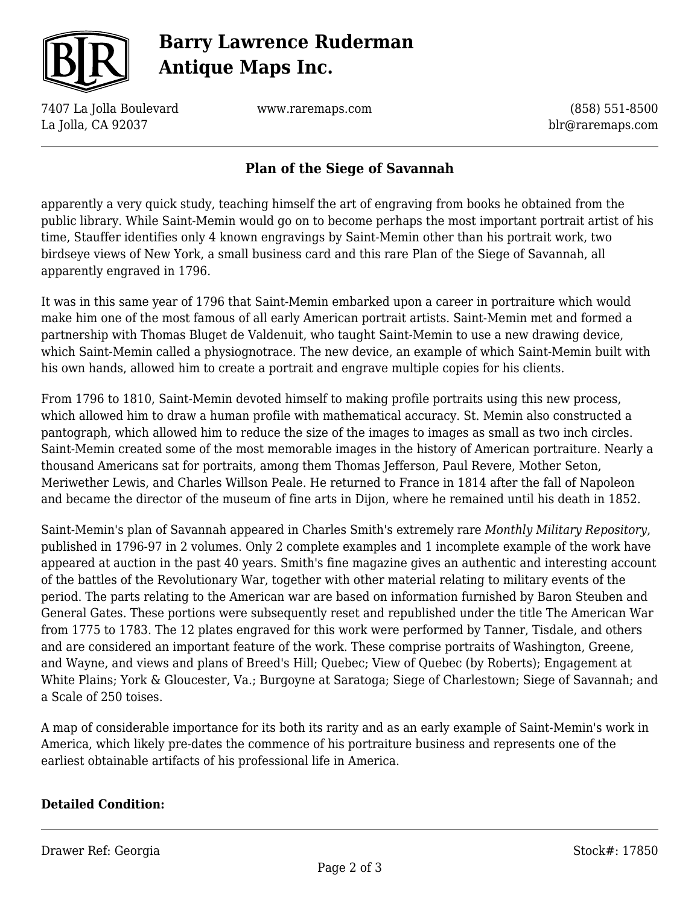

## **Barry Lawrence Ruderman Antique Maps Inc.**

7407 La Jolla Boulevard La Jolla, CA 92037

www.raremaps.com

(858) 551-8500 blr@raremaps.com

### **Plan of the Siege of Savannah**

apparently a very quick study, teaching himself the art of engraving from books he obtained from the public library. While Saint-Memin would go on to become perhaps the most important portrait artist of his time, Stauffer identifies only 4 known engravings by Saint-Memin other than his portrait work, two birdseye views of New York, a small business card and this rare Plan of the Siege of Savannah, all apparently engraved in 1796.

It was in this same year of 1796 that Saint-Memin embarked upon a career in portraiture which would make him one of the most famous of all early American portrait artists. Saint-Memin met and formed a partnership with Thomas Bluget de Valdenuit, who taught Saint-Memin to use a new drawing device, which Saint-Memin called a physiognotrace. The new device, an example of which Saint-Memin built with his own hands, allowed him to create a portrait and engrave multiple copies for his clients.

From 1796 to 1810, Saint-Memin devoted himself to making profile portraits using this new process, which allowed him to draw a human profile with mathematical accuracy. St. Memin also constructed a pantograph, which allowed him to reduce the size of the images to images as small as two inch circles. Saint-Memin created some of the most memorable images in the history of American portraiture. Nearly a thousand Americans sat for portraits, among them Thomas Jefferson, Paul Revere, Mother Seton, Meriwether Lewis, and Charles Willson Peale. He returned to France in 1814 after the fall of Napoleon and became the director of the museum of fine arts in Dijon, where he remained until his death in 1852.

Saint-Memin's plan of Savannah appeared in Charles Smith's extremely rare *Monthly Military Repository*, published in 1796-97 in 2 volumes. Only 2 complete examples and 1 incomplete example of the work have appeared at auction in the past 40 years. Smith's fine magazine gives an authentic and interesting account of the battles of the Revolutionary War, together with other material relating to military events of the period. The parts relating to the American war are based on information furnished by Baron Steuben and General Gates. These portions were subsequently reset and republished under the title The American War from 1775 to 1783. The 12 plates engraved for this work were performed by Tanner, Tisdale, and others and are considered an important feature of the work. These comprise portraits of Washington, Greene, and Wayne, and views and plans of Breed's Hill; Quebec; View of Quebec (by Roberts); Engagement at White Plains; York & Gloucester, Va.; Burgoyne at Saratoga; Siege of Charlestown; Siege of Savannah; and a Scale of 250 toises.

A map of considerable importance for its both its rarity and as an early example of Saint-Memin's work in America, which likely pre-dates the commence of his portraiture business and represents one of the earliest obtainable artifacts of his professional life in America.

#### **Detailed Condition:**